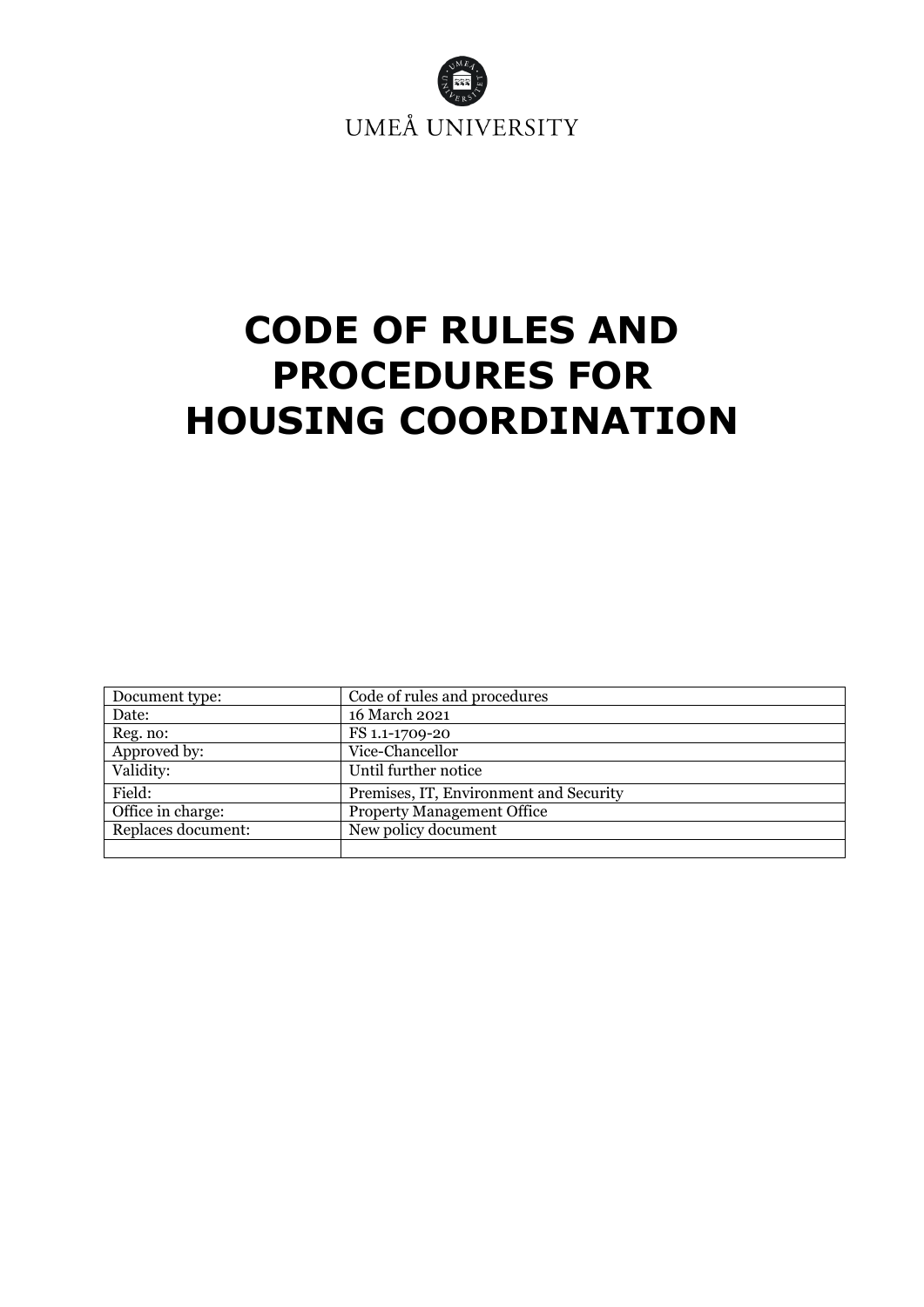

# **CODE OF RULES AND PROCEDURES FOR HOUSING COORDINATION**

| Document type:     | Code of rules and procedures           |
|--------------------|----------------------------------------|
| Date:              | 16 March 2021                          |
| Reg. no:           | FS 1.1-1709-20                         |
| Approved by:       | Vice-Chancellor                        |
| Validity:          | Until further notice                   |
| Field:             | Premises, IT, Environment and Security |
| Office in charge:  | <b>Property Management Office</b>      |
| Replaces document: | New policy document                    |
|                    |                                        |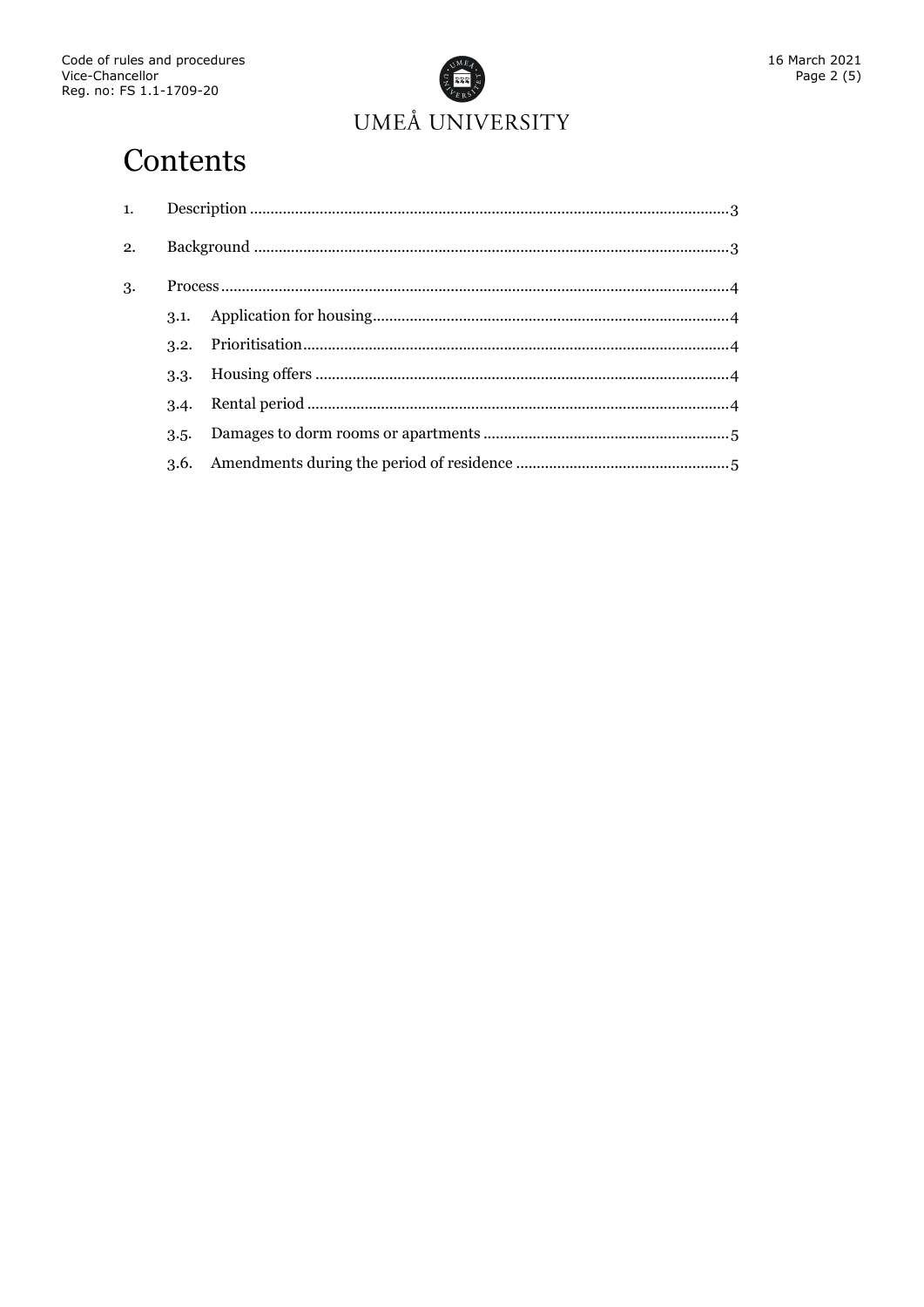

# Contents

| 2. |      |  |  |
|----|------|--|--|
| 3. |      |  |  |
|    | 3.1. |  |  |
|    | 3.2. |  |  |
|    | 3.3. |  |  |
|    | 3.4. |  |  |
|    | 3.5. |  |  |
|    | 3.6. |  |  |
|    |      |  |  |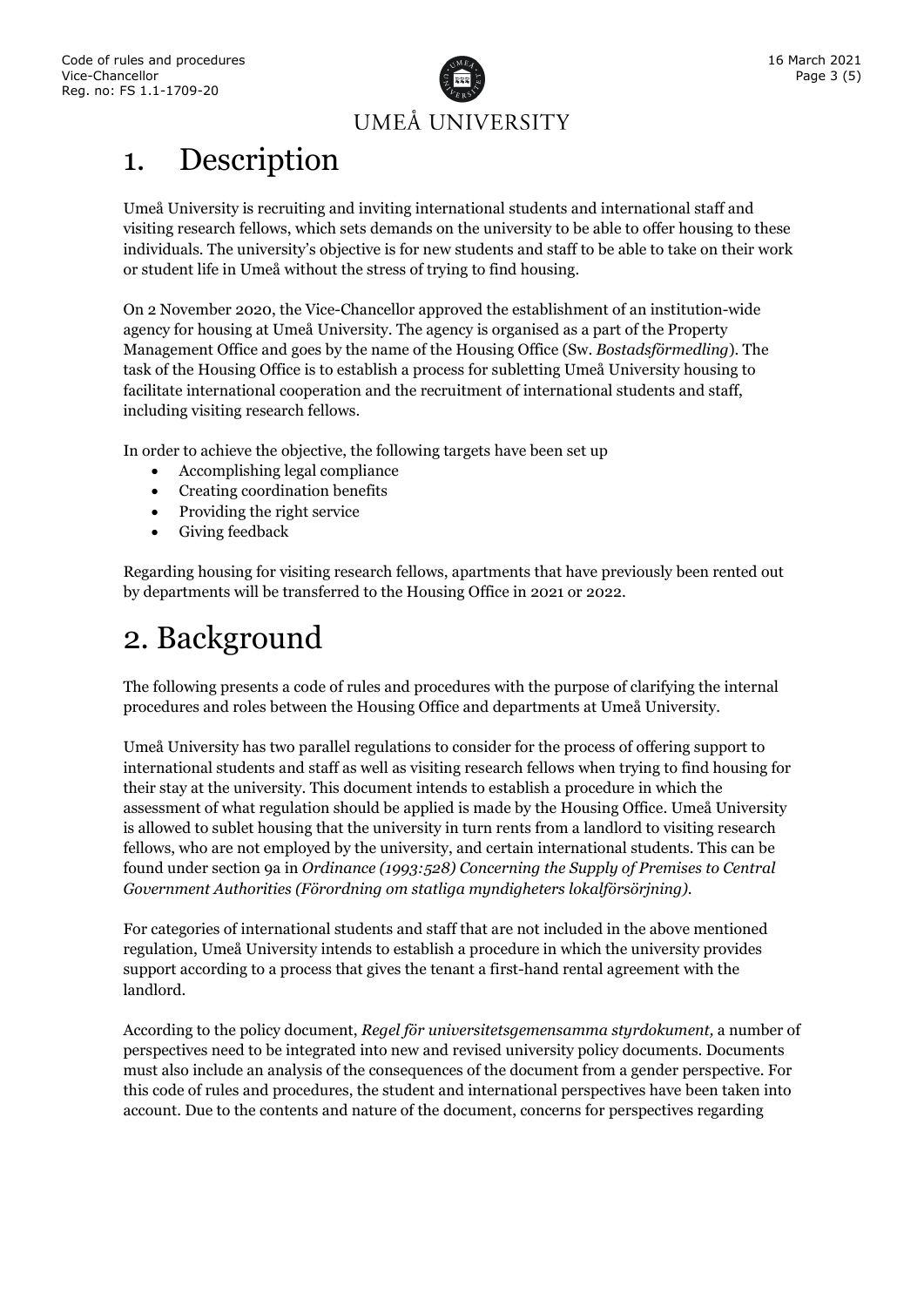

# <span id="page-2-0"></span>1. Description

Umeå University is recruiting and inviting international students and international staff and visiting research fellows, which sets demands on the university to be able to offer housing to these individuals. The university's objective is for new students and staff to be able to take on their work or student life in Umeå without the stress of trying to find housing.

On 2 November 2020, the Vice-Chancellor approved the establishment of an institution-wide agency for housing at Umeå University. The agency is organised as a part of the Property Management Office and goes by the name of the Housing Office (Sw. *Bostadsförmedling*). The task of the Housing Office is to establish a process for subletting Umeå University housing to facilitate international cooperation and the recruitment of international students and staff, including visiting research fellows.

In order to achieve the objective, the following targets have been set up

- Accomplishing legal compliance
- Creating coordination benefits
- Providing the right service
- Giving feedback

Regarding housing for visiting research fellows, apartments that have previously been rented out by departments will be transferred to the Housing Office in 2021 or 2022.

## <span id="page-2-1"></span>2. Background

The following presents a code of rules and procedures with the purpose of clarifying the internal procedures and roles between the Housing Office and departments at Umeå University.

Umeå University has two parallel regulations to consider for the process of offering support to international students and staff as well as visiting research fellows when trying to find housing for their stay at the university. This document intends to establish a procedure in which the assessment of what regulation should be applied is made by the Housing Office. Umeå University is allowed to sublet housing that the university in turn rents from a landlord to visiting research fellows, who are not employed by the university, and certain international students. This can be found under section 9a in *Ordinance (1993:528) Concerning the Supply of Premises to Central Government Authorities (Förordning om statliga myndigheters lokalförsörjning)*.

For categories of international students and staff that are not included in the above mentioned regulation, Umeå University intends to establish a procedure in which the university provides support according to a process that gives the tenant a first-hand rental agreement with the landlord.

According to the policy document, *Regel för universitetsgemensamma styrdokument,* a number of perspectives need to be integrated into new and revised university policy documents. Documents must also include an analysis of the consequences of the document from a gender perspective. For this code of rules and procedures, the student and international perspectives have been taken into account. Due to the contents and nature of the document, concerns for perspectives regarding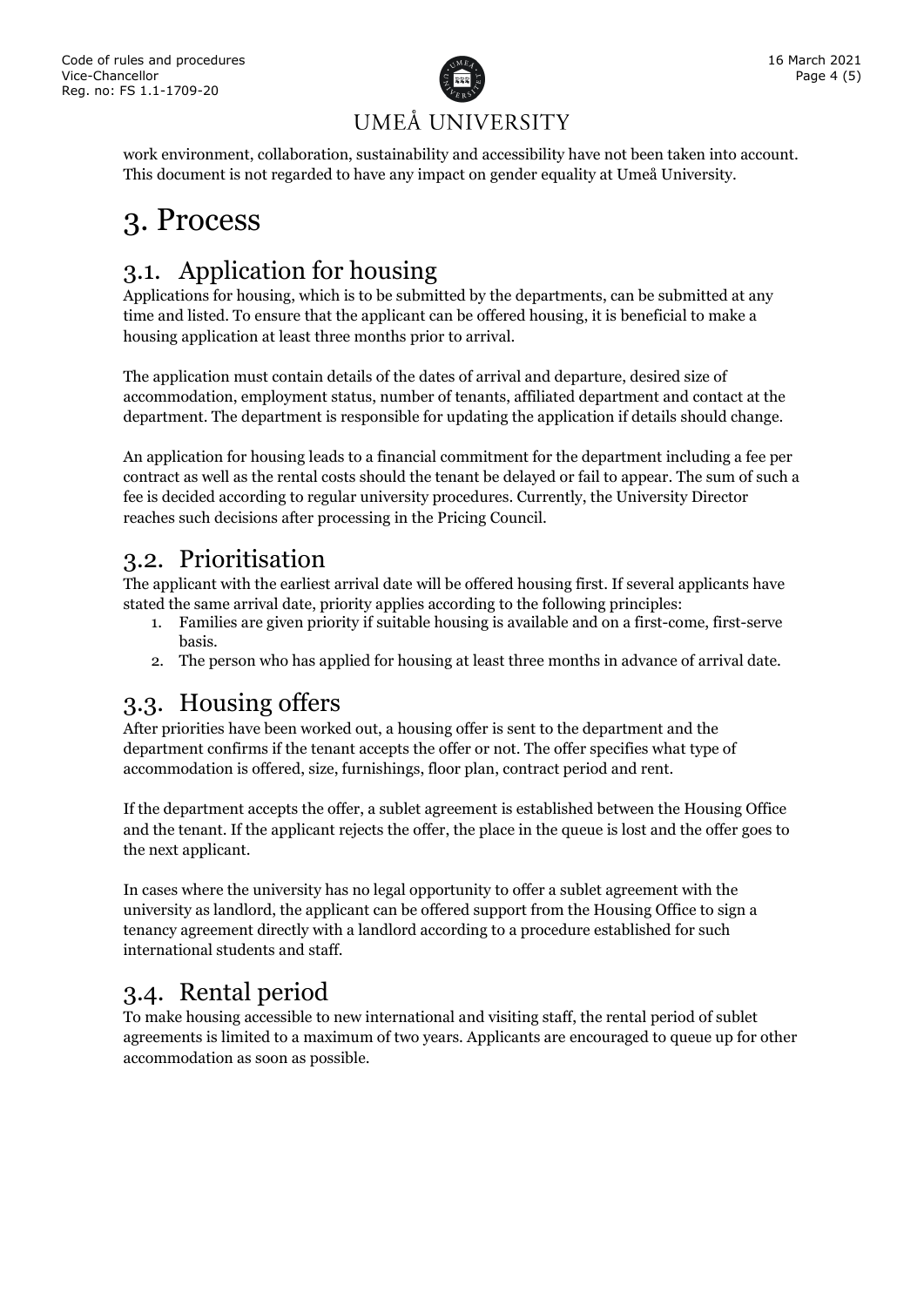

# UMEÅ UNIVERSITY

work environment, collaboration, sustainability and accessibility have not been taken into account. This document is not regarded to have any impact on gender equality at Umeå University.

# <span id="page-3-0"></span>3. Process

### <span id="page-3-1"></span>3.1. Application for housing

Applications for housing, which is to be submitted by the departments, can be submitted at any time and listed. To ensure that the applicant can be offered housing, it is beneficial to make a housing application at least three months prior to arrival.

The application must contain details of the dates of arrival and departure, desired size of accommodation, employment status, number of tenants, affiliated department and contact at the department. The department is responsible for updating the application if details should change.

An application for housing leads to a financial commitment for the department including a fee per contract as well as the rental costs should the tenant be delayed or fail to appear. The sum of such a fee is decided according to regular university procedures. Currently, the University Director reaches such decisions after processing in the Pricing Council.

### <span id="page-3-2"></span>3.2. Prioritisation

The applicant with the earliest arrival date will be offered housing first. If several applicants have stated the same arrival date, priority applies according to the following principles:

- 1. Families are given priority if suitable housing is available and on a first-come, first-serve basis.
- 2. The person who has applied for housing at least three months in advance of arrival date.

### <span id="page-3-3"></span>3.3. Housing offers

After priorities have been worked out, a housing offer is sent to the department and the department confirms if the tenant accepts the offer or not. The offer specifies what type of accommodation is offered, size, furnishings, floor plan, contract period and rent.

If the department accepts the offer, a sublet agreement is established between the Housing Office and the tenant. If the applicant rejects the offer, the place in the queue is lost and the offer goes to the next applicant.

In cases where the university has no legal opportunity to offer a sublet agreement with the university as landlord, the applicant can be offered support from the Housing Office to sign a tenancy agreement directly with a landlord according to a procedure established for such international students and staff.

### <span id="page-3-4"></span>3.4. Rental period

To make housing accessible to new international and visiting staff, the rental period of sublet agreements is limited to a maximum of two years. Applicants are encouraged to queue up for other accommodation as soon as possible.